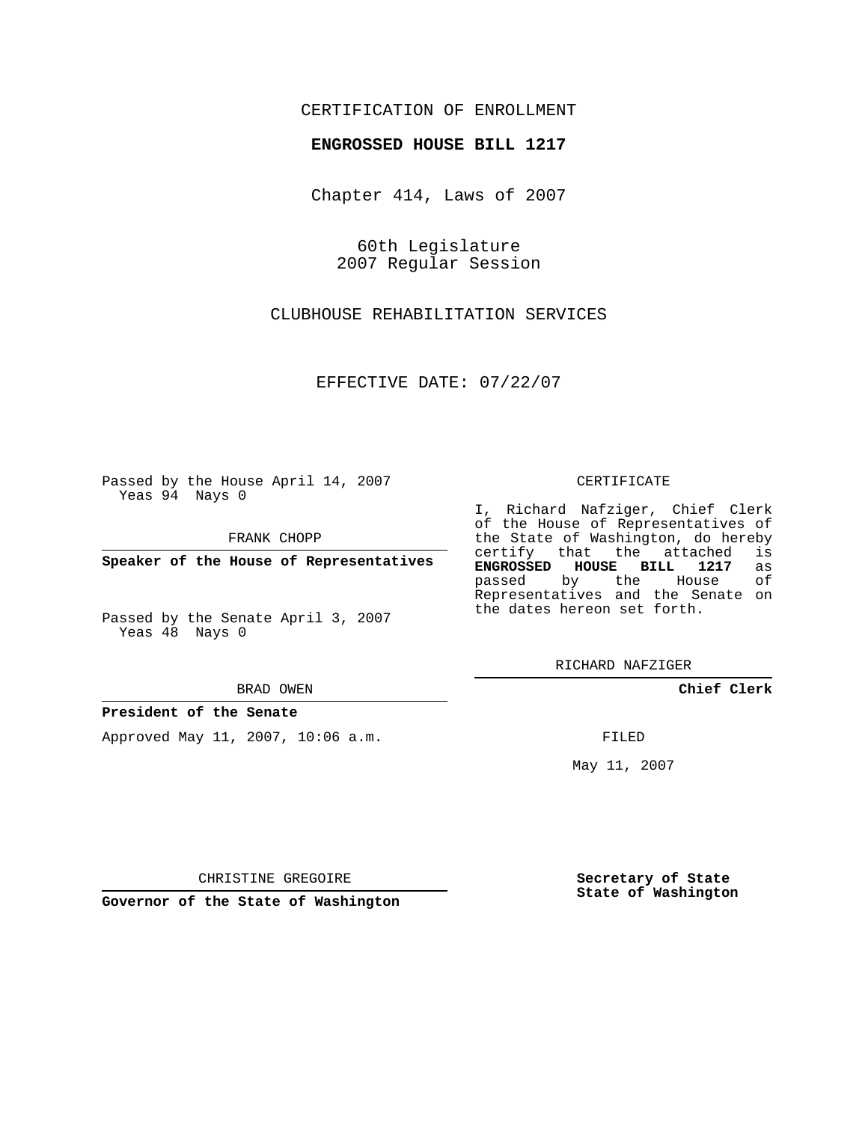## CERTIFICATION OF ENROLLMENT

### **ENGROSSED HOUSE BILL 1217**

Chapter 414, Laws of 2007

60th Legislature 2007 Regular Session

CLUBHOUSE REHABILITATION SERVICES

EFFECTIVE DATE: 07/22/07

Passed by the House April 14, 2007 Yeas 94 Nays 0

FRANK CHOPP

**Speaker of the House of Representatives**

Passed by the Senate April 3, 2007 Yeas 48 Nays 0

#### BRAD OWEN

## **President of the Senate**

Approved May 11, 2007, 10:06 a.m.

#### CERTIFICATE

I, Richard Nafziger, Chief Clerk of the House of Representatives of the State of Washington, do hereby<br>certify that the attached is certify that the attached **ENGROSSED HOUSE BILL 1217** as passed by the House Representatives and the Senate on the dates hereon set forth.

RICHARD NAFZIGER

**Chief Clerk**

FILED

May 11, 2007

**Secretary of State State of Washington**

CHRISTINE GREGOIRE

**Governor of the State of Washington**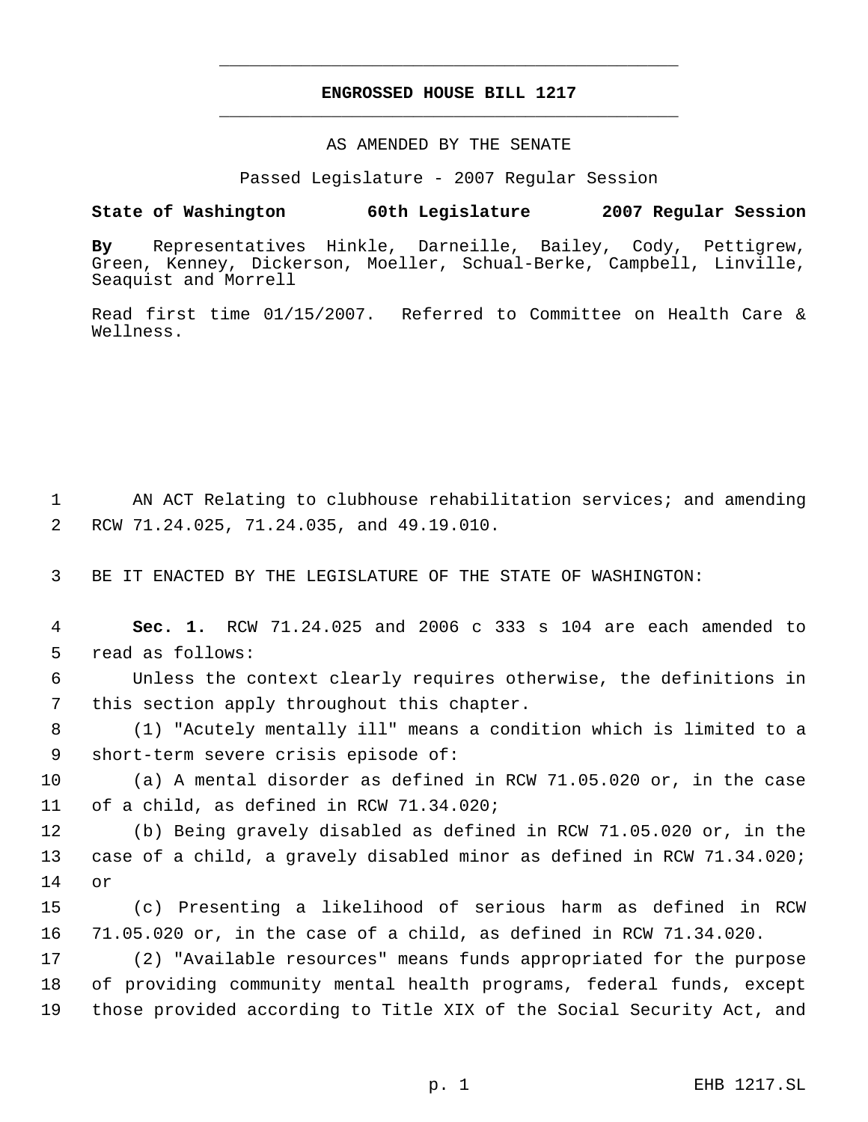# **ENGROSSED HOUSE BILL 1217** \_\_\_\_\_\_\_\_\_\_\_\_\_\_\_\_\_\_\_\_\_\_\_\_\_\_\_\_\_\_\_\_\_\_\_\_\_\_\_\_\_\_\_\_\_

\_\_\_\_\_\_\_\_\_\_\_\_\_\_\_\_\_\_\_\_\_\_\_\_\_\_\_\_\_\_\_\_\_\_\_\_\_\_\_\_\_\_\_\_\_

#### AS AMENDED BY THE SENATE

Passed Legislature - 2007 Regular Session

## **State of Washington 60th Legislature 2007 Regular Session**

**By** Representatives Hinkle, Darneille, Bailey, Cody, Pettigrew, Green, Kenney, Dickerson, Moeller, Schual-Berke, Campbell, Linville, Seaquist and Morrell

Read first time 01/15/2007. Referred to Committee on Health Care & Wellness.

1 AN ACT Relating to clubhouse rehabilitation services; and amending 2 RCW 71.24.025, 71.24.035, and 49.19.010.

3 BE IT ENACTED BY THE LEGISLATURE OF THE STATE OF WASHINGTON:

 4 **Sec. 1.** RCW 71.24.025 and 2006 c 333 s 104 are each amended to 5 read as follows:

 6 Unless the context clearly requires otherwise, the definitions in 7 this section apply throughout this chapter.

 8 (1) "Acutely mentally ill" means a condition which is limited to a 9 short-term severe crisis episode of:

10 (a) A mental disorder as defined in RCW 71.05.020 or, in the case 11 of a child, as defined in RCW 71.34.020;

12 (b) Being gravely disabled as defined in RCW 71.05.020 or, in the 13 case of a child, a gravely disabled minor as defined in RCW 71.34.020; 14 or

15 (c) Presenting a likelihood of serious harm as defined in RCW 16 71.05.020 or, in the case of a child, as defined in RCW 71.34.020.

17 (2) "Available resources" means funds appropriated for the purpose 18 of providing community mental health programs, federal funds, except 19 those provided according to Title XIX of the Social Security Act, and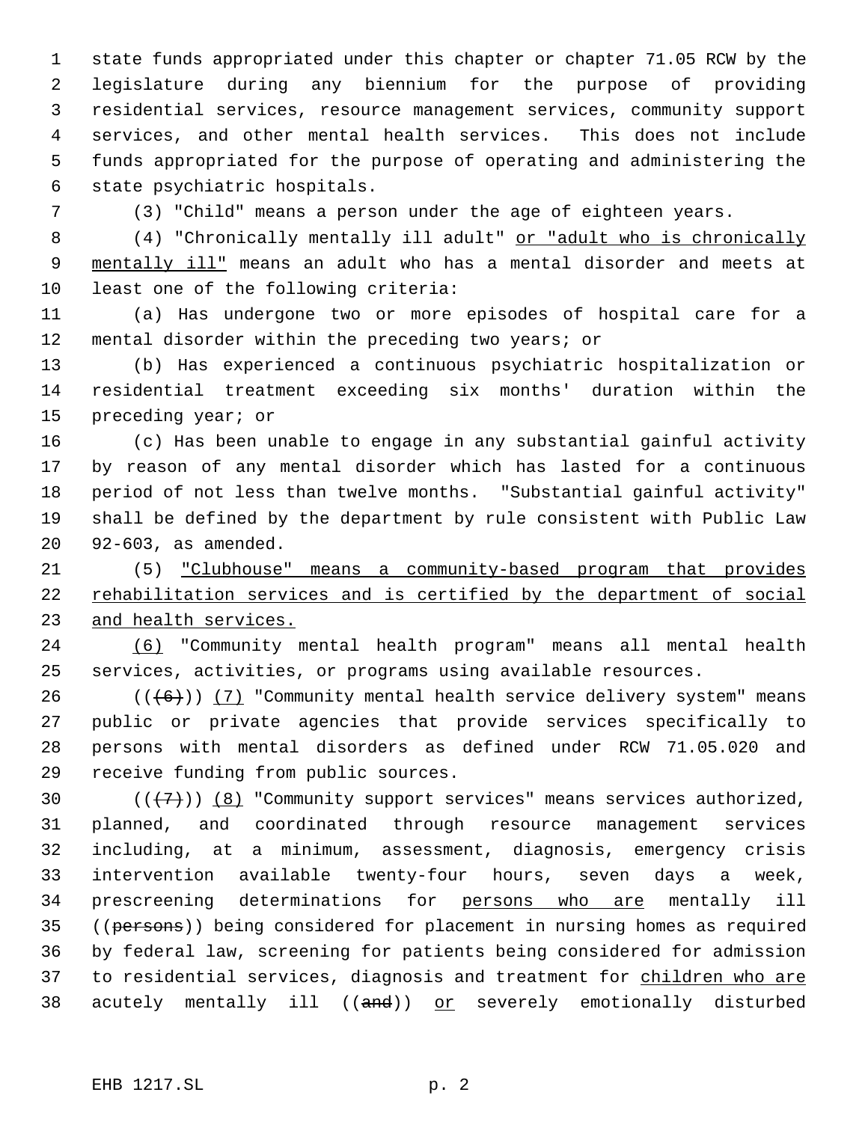state funds appropriated under this chapter or chapter 71.05 RCW by the legislature during any biennium for the purpose of providing residential services, resource management services, community support services, and other mental health services. This does not include funds appropriated for the purpose of operating and administering the state psychiatric hospitals.

(3) "Child" means a person under the age of eighteen years.

 (4) "Chronically mentally ill adult" or "adult who is chronically 9 mentally ill" means an adult who has a mental disorder and meets at least one of the following criteria:

 (a) Has undergone two or more episodes of hospital care for a mental disorder within the preceding two years; or

 (b) Has experienced a continuous psychiatric hospitalization or residential treatment exceeding six months' duration within the preceding year; or

 (c) Has been unable to engage in any substantial gainful activity by reason of any mental disorder which has lasted for a continuous period of not less than twelve months. "Substantial gainful activity" shall be defined by the department by rule consistent with Public Law 92-603, as amended.

 (5) "Clubhouse" means a community-based program that provides rehabilitation services and is certified by the department of social and health services.

 (6) "Community mental health program" means all mental health services, activities, or programs using available resources.

 $((+6))$   $(7)$  "Community mental health service delivery system" means public or private agencies that provide services specifically to persons with mental disorders as defined under RCW 71.05.020 and receive funding from public sources.

30  $((+7))$   $(8)$  "Community support services" means services authorized, planned, and coordinated through resource management services including, at a minimum, assessment, diagnosis, emergency crisis intervention available twenty-four hours, seven days a week, 34 prescreening determinations for persons who are mentally ill 35 ((persons)) being considered for placement in nursing homes as required by federal law, screening for patients being considered for admission 37 to residential services, diagnosis and treatment for children who are 38 acutely mentally ill ((and)) or severely emotionally disturbed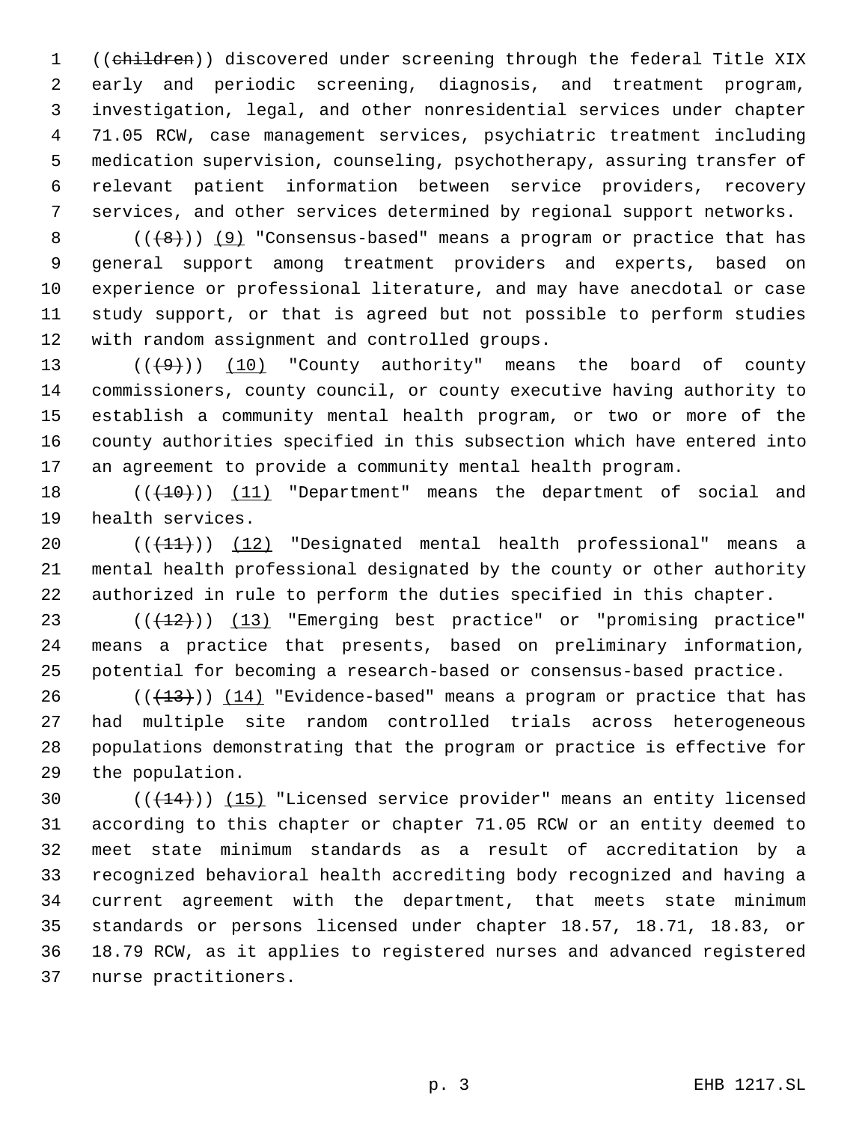1 ((children)) discovered under screening through the federal Title XIX early and periodic screening, diagnosis, and treatment program, investigation, legal, and other nonresidential services under chapter 71.05 RCW, case management services, psychiatric treatment including medication supervision, counseling, psychotherapy, assuring transfer of relevant patient information between service providers, recovery services, and other services determined by regional support networks.

8 ( $(\frac{1}{8})$ ) (9) "Consensus-based" means a program or practice that has general support among treatment providers and experts, based on experience or professional literature, and may have anecdotal or case study support, or that is agreed but not possible to perform studies with random assignment and controlled groups.

 $((+9))$   $(10)$  "County authority" means the board of county commissioners, county council, or county executive having authority to establish a community mental health program, or two or more of the county authorities specified in this subsection which have entered into an agreement to provide a community mental health program.

18 (( $\left(\frac{10}{10}\right)$ ) (11) "Department" means the department of social and health services.

20 (( $(11)$ )) (12) "Designated mental health professional" means a mental health professional designated by the county or other authority authorized in rule to perform the duties specified in this chapter.

23 (( $(12)$ )) (13) "Emerging best practice" or "promising practice" means a practice that presents, based on preliminary information, potential for becoming a research-based or consensus-based practice.

26 ( $(\frac{13}{13})$ )  $(14)$  "Evidence-based" means a program or practice that has had multiple site random controlled trials across heterogeneous populations demonstrating that the program or practice is effective for the population.

 $((+14))$   $(15)$  "Licensed service provider" means an entity licensed according to this chapter or chapter 71.05 RCW or an entity deemed to meet state minimum standards as a result of accreditation by a recognized behavioral health accrediting body recognized and having a current agreement with the department, that meets state minimum standards or persons licensed under chapter 18.57, 18.71, 18.83, or 18.79 RCW, as it applies to registered nurses and advanced registered nurse practitioners.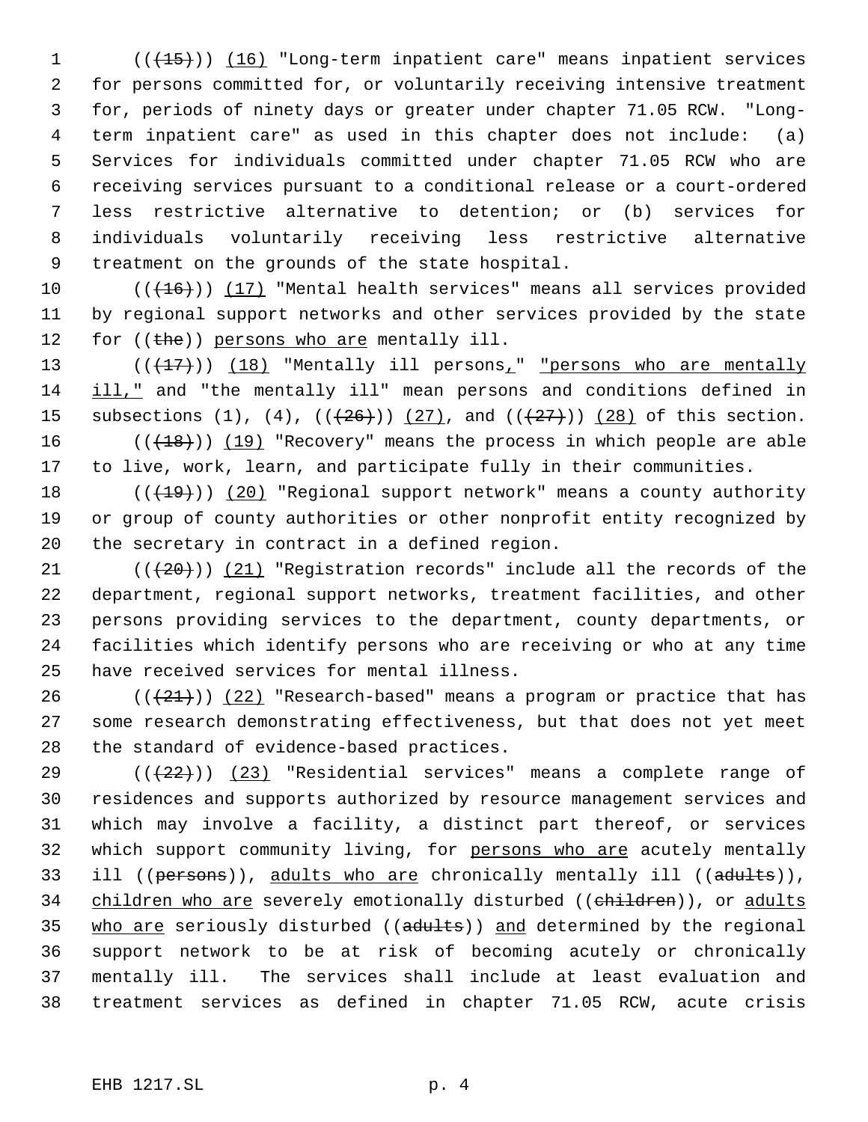1 (( $\overline{(15)}}$ )) (16) "Long-term inpatient care" means inpatient services for persons committed for, or voluntarily receiving intensive treatment for, periods of ninety days or greater under chapter 71.05 RCW. "Long- term inpatient care" as used in this chapter does not include: (a) Services for individuals committed under chapter 71.05 RCW who are receiving services pursuant to a conditional release or a court-ordered less restrictive alternative to detention; or (b) services for individuals voluntarily receiving less restrictive alternative treatment on the grounds of the state hospital.

 $((+16))$  (17) "Mental health services" means all services provided by regional support networks and other services provided by the state 12 for  $((the))$  persons who are mentally ill.

13 (((+17)) (18) "Mentally ill persons<sub>1</sub>" "persons who are mentally 14 ill," and "the mentally ill" mean persons and conditions defined in 15 subsections (1), (4),  $((+26))$  (27), and  $((+27))$  (28) of this section. 16 (( $(18)$ )) (19) "Recovery" means the process in which people are able

to live, work, learn, and participate fully in their communities.

18  $((+19))$   $(20)$  "Regional support network" means a county authority or group of county authorities or other nonprofit entity recognized by the secretary in contract in a defined region.

 $((+20))$   $(21)$  "Registration records" include all the records of the department, regional support networks, treatment facilities, and other persons providing services to the department, county departments, or facilities which identify persons who are receiving or who at any time have received services for mental illness.

26 ( $(\frac{21}{2})$ ) (22) "Research-based" means a program or practice that has some research demonstrating effectiveness, but that does not yet meet the standard of evidence-based practices.

 $((+22))$   $(23)$  "Residential services" means a complete range of residences and supports authorized by resource management services and which may involve a facility, a distinct part thereof, or services which support community living, for persons who are acutely mentally 33 ill ((persons)), adults who are chronically mentally ill ((adults)), 34 children who are severely emotionally disturbed ((children)), or adults 35 who are seriously disturbed ((adults)) and determined by the regional support network to be at risk of becoming acutely or chronically mentally ill. The services shall include at least evaluation and treatment services as defined in chapter 71.05 RCW, acute crisis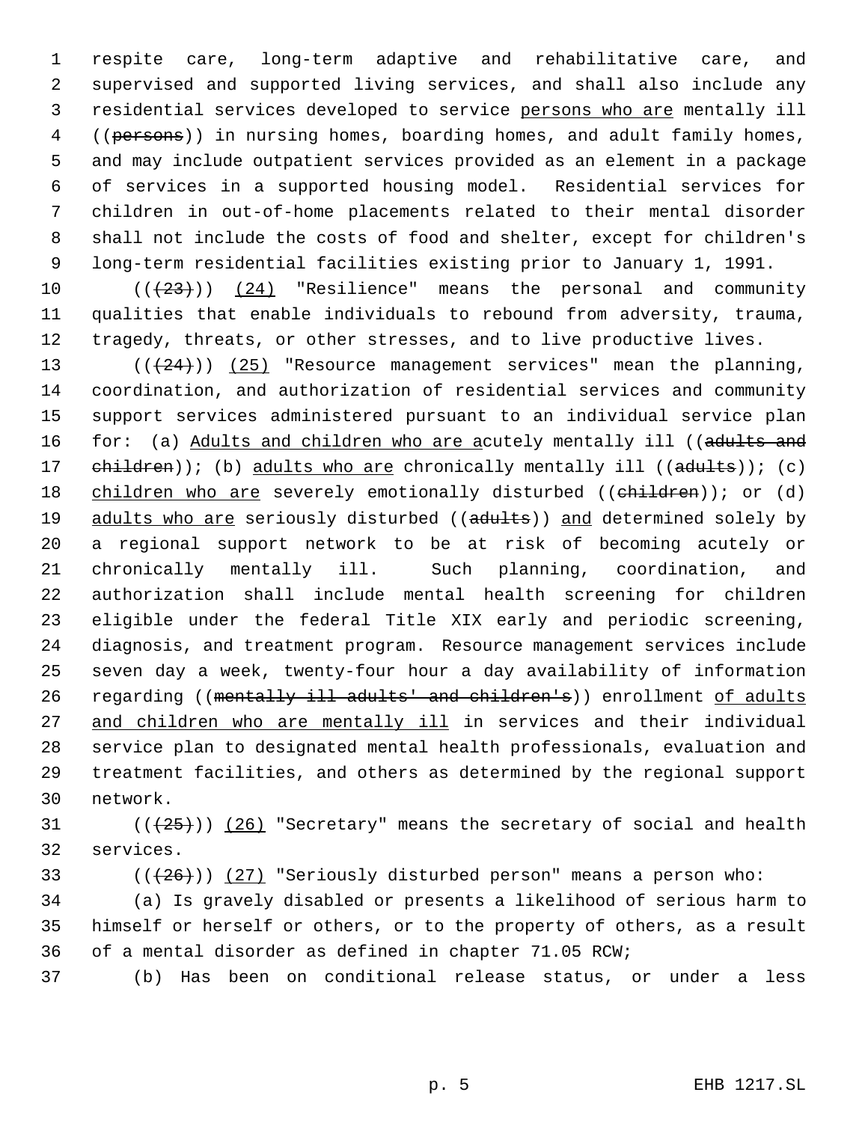respite care, long-term adaptive and rehabilitative care, and supervised and supported living services, and shall also include any residential services developed to service persons who are mentally ill 4 ((persons)) in nursing homes, boarding homes, and adult family homes, and may include outpatient services provided as an element in a package of services in a supported housing model. Residential services for children in out-of-home placements related to their mental disorder shall not include the costs of food and shelter, except for children's long-term residential facilities existing prior to January 1, 1991.

 $((+23))$  (24) "Resilience" means the personal and community qualities that enable individuals to rebound from adversity, trauma, tragedy, threats, or other stresses, and to live productive lives.

 $((+24))$   $(25)$  "Resource management services" mean the planning, coordination, and authorization of residential services and community support services administered pursuant to an individual service plan 16 for: (a) Adults and children who are acutely mentally ill ((adults and 17 ehildren)); (b) adults who are chronically mentally ill ((adults)); (c) 18 children who are severely emotionally disturbed ((children)); or (d) 19 adults who are seriously disturbed ((adults)) and determined solely by a regional support network to be at risk of becoming acutely or chronically mentally ill. Such planning, coordination, and authorization shall include mental health screening for children eligible under the federal Title XIX early and periodic screening, diagnosis, and treatment program. Resource management services include seven day a week, twenty-four hour a day availability of information 26 regarding ((mentally ill adults' and children's)) enrollment of adults 27 and children who are mentally ill in services and their individual service plan to designated mental health professionals, evaluation and treatment facilities, and others as determined by the regional support network.

31  $((+25))$   $(26)$  "Secretary" means the secretary of social and health services.

33 ( $(\overline{26})$ ) (27) "Seriously disturbed person" means a person who:

 (a) Is gravely disabled or presents a likelihood of serious harm to himself or herself or others, or to the property of others, as a result of a mental disorder as defined in chapter 71.05 RCW;

(b) Has been on conditional release status, or under a less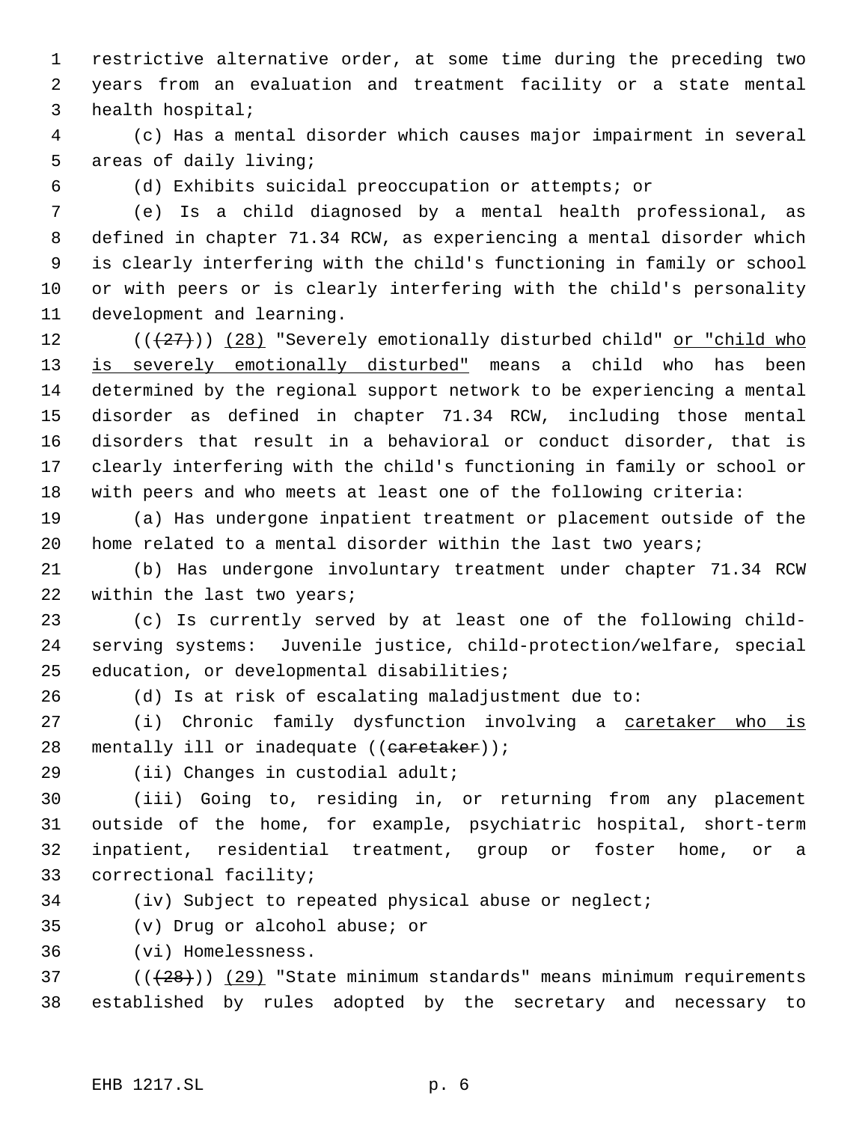restrictive alternative order, at some time during the preceding two years from an evaluation and treatment facility or a state mental health hospital;

 (c) Has a mental disorder which causes major impairment in several areas of daily living;

(d) Exhibits suicidal preoccupation or attempts; or

 (e) Is a child diagnosed by a mental health professional, as defined in chapter 71.34 RCW, as experiencing a mental disorder which is clearly interfering with the child's functioning in family or school or with peers or is clearly interfering with the child's personality development and learning.

12 (( $(27)$ )) (28) "Severely emotionally disturbed child" or "child who 13 is severely emotionally disturbed" means a child who has been determined by the regional support network to be experiencing a mental disorder as defined in chapter 71.34 RCW, including those mental disorders that result in a behavioral or conduct disorder, that is clearly interfering with the child's functioning in family or school or with peers and who meets at least one of the following criteria:

 (a) Has undergone inpatient treatment or placement outside of the home related to a mental disorder within the last two years;

 (b) Has undergone involuntary treatment under chapter 71.34 RCW 22 within the last two years;

 (c) Is currently served by at least one of the following child- serving systems: Juvenile justice, child-protection/welfare, special education, or developmental disabilities;

(d) Is at risk of escalating maladjustment due to:

27 (i) Chronic family dysfunction involving a caretaker who is 28 mentally ill or inadequate ((caretaker));

29 (ii) Changes in custodial adult;

 (iii) Going to, residing in, or returning from any placement outside of the home, for example, psychiatric hospital, short-term inpatient, residential treatment, group or foster home, or a correctional facility;

(iv) Subject to repeated physical abuse or neglect;

(v) Drug or alcohol abuse; or

(vi) Homelessness.

 ( $(\overline{28})$ ) (29) "State minimum standards" means minimum requirements established by rules adopted by the secretary and necessary to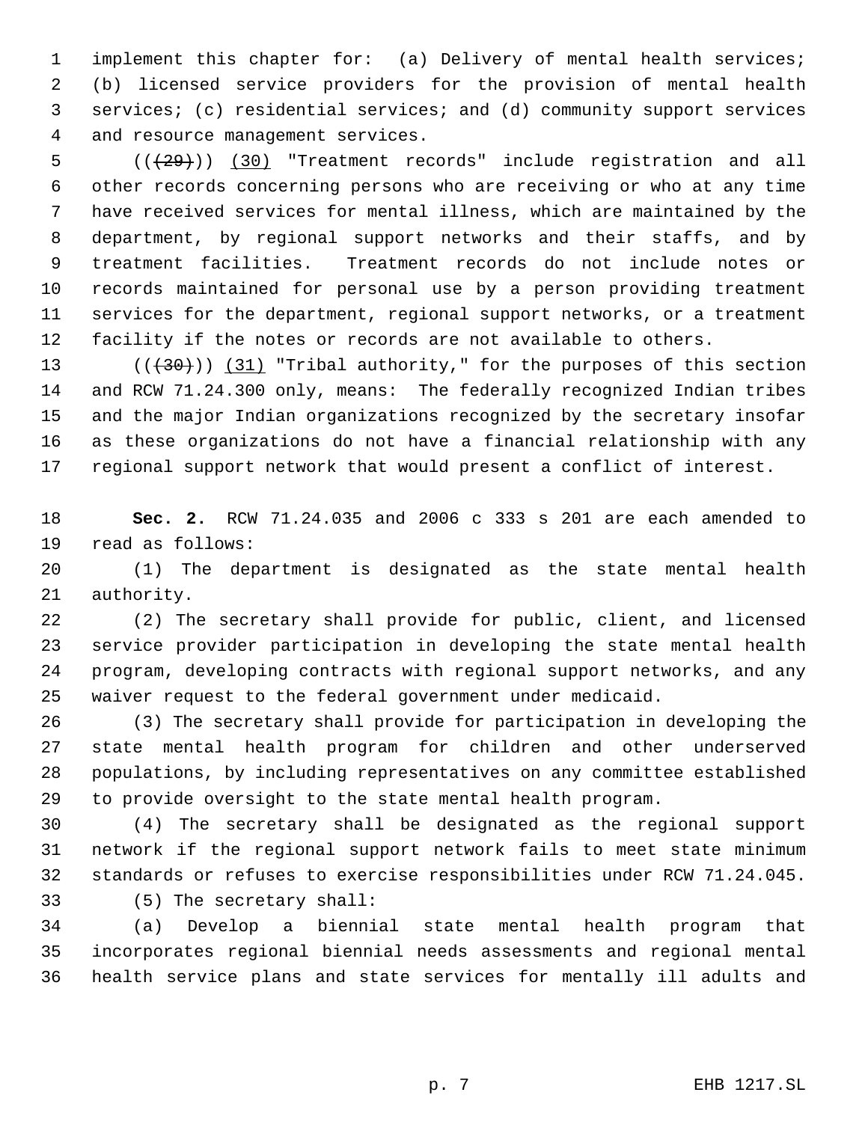implement this chapter for: (a) Delivery of mental health services; (b) licensed service providers for the provision of mental health services; (c) residential services; and (d) community support services and resource management services.

5 (( $(29)$ )) (30) "Treatment records" include registration and all other records concerning persons who are receiving or who at any time have received services for mental illness, which are maintained by the department, by regional support networks and their staffs, and by treatment facilities. Treatment records do not include notes or records maintained for personal use by a person providing treatment services for the department, regional support networks, or a treatment facility if the notes or records are not available to others.

13 (( $(30)$ )) (31) "Tribal authority," for the purposes of this section and RCW 71.24.300 only, means: The federally recognized Indian tribes and the major Indian organizations recognized by the secretary insofar as these organizations do not have a financial relationship with any regional support network that would present a conflict of interest.

 **Sec. 2.** RCW 71.24.035 and 2006 c 333 s 201 are each amended to read as follows:

 (1) The department is designated as the state mental health authority.

 (2) The secretary shall provide for public, client, and licensed service provider participation in developing the state mental health program, developing contracts with regional support networks, and any waiver request to the federal government under medicaid.

 (3) The secretary shall provide for participation in developing the state mental health program for children and other underserved populations, by including representatives on any committee established to provide oversight to the state mental health program.

 (4) The secretary shall be designated as the regional support network if the regional support network fails to meet state minimum standards or refuses to exercise responsibilities under RCW 71.24.045. (5) The secretary shall:

 (a) Develop a biennial state mental health program that incorporates regional biennial needs assessments and regional mental health service plans and state services for mentally ill adults and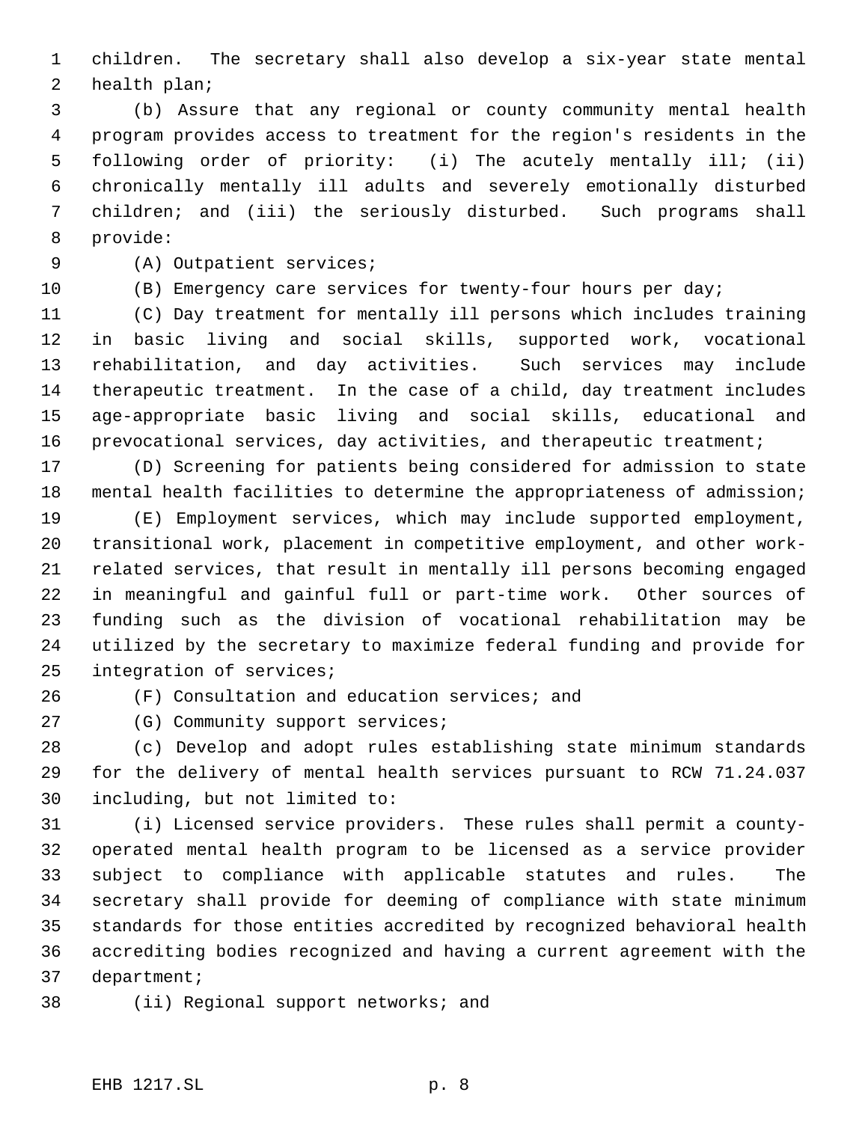children. The secretary shall also develop a six-year state mental health plan;

 (b) Assure that any regional or county community mental health program provides access to treatment for the region's residents in the following order of priority: (i) The acutely mentally ill; (ii) chronically mentally ill adults and severely emotionally disturbed children; and (iii) the seriously disturbed. Such programs shall provide:

- (A) Outpatient services;
- 

(B) Emergency care services for twenty-four hours per day;

 (C) Day treatment for mentally ill persons which includes training in basic living and social skills, supported work, vocational rehabilitation, and day activities. Such services may include therapeutic treatment. In the case of a child, day treatment includes age-appropriate basic living and social skills, educational and prevocational services, day activities, and therapeutic treatment;

 (D) Screening for patients being considered for admission to state mental health facilities to determine the appropriateness of admission;

 (E) Employment services, which may include supported employment, transitional work, placement in competitive employment, and other work- related services, that result in mentally ill persons becoming engaged in meaningful and gainful full or part-time work. Other sources of funding such as the division of vocational rehabilitation may be utilized by the secretary to maximize federal funding and provide for integration of services;

(F) Consultation and education services; and

27 (G) Community support services;

 (c) Develop and adopt rules establishing state minimum standards for the delivery of mental health services pursuant to RCW 71.24.037 including, but not limited to:

 (i) Licensed service providers. These rules shall permit a county- operated mental health program to be licensed as a service provider subject to compliance with applicable statutes and rules. The secretary shall provide for deeming of compliance with state minimum standards for those entities accredited by recognized behavioral health accrediting bodies recognized and having a current agreement with the department;

(ii) Regional support networks; and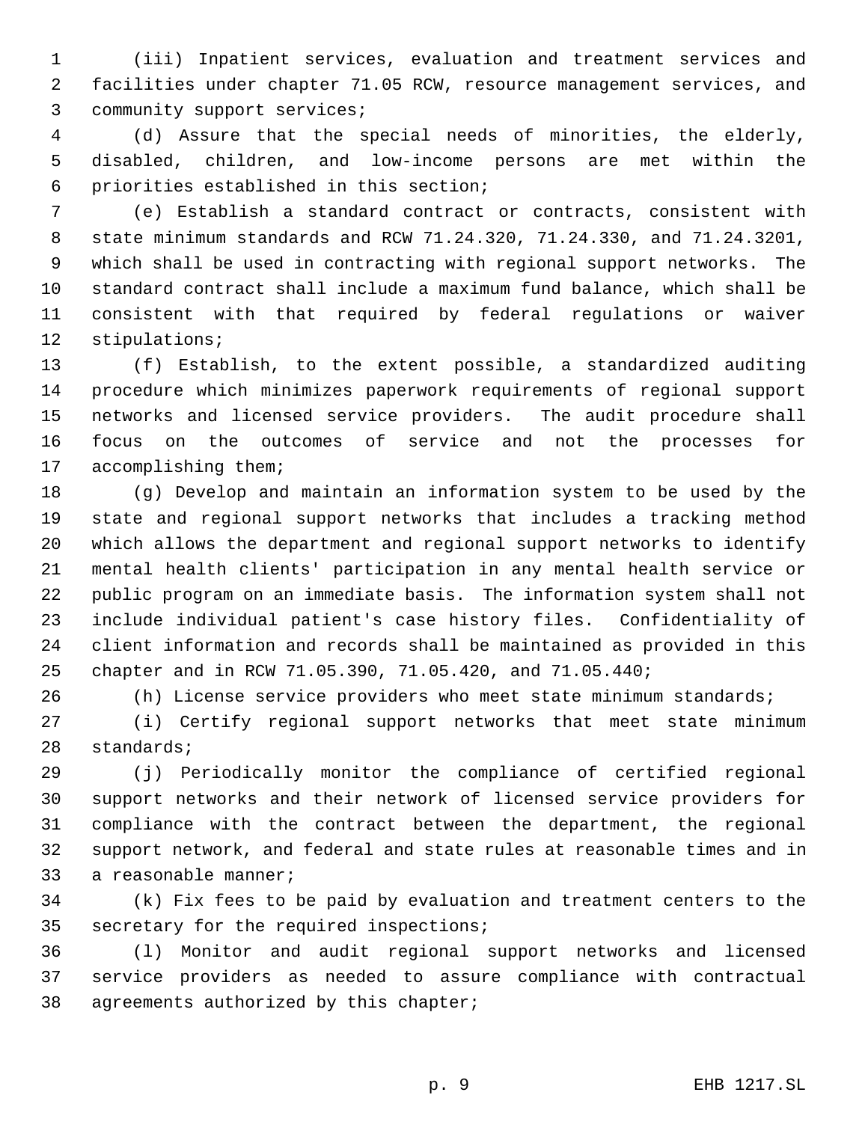(iii) Inpatient services, evaluation and treatment services and facilities under chapter 71.05 RCW, resource management services, and community support services;

 (d) Assure that the special needs of minorities, the elderly, disabled, children, and low-income persons are met within the priorities established in this section;

 (e) Establish a standard contract or contracts, consistent with state minimum standards and RCW 71.24.320, 71.24.330, and 71.24.3201, which shall be used in contracting with regional support networks. The standard contract shall include a maximum fund balance, which shall be consistent with that required by federal regulations or waiver stipulations;

 (f) Establish, to the extent possible, a standardized auditing procedure which minimizes paperwork requirements of regional support networks and licensed service providers. The audit procedure shall focus on the outcomes of service and not the processes for accomplishing them;

 (g) Develop and maintain an information system to be used by the state and regional support networks that includes a tracking method which allows the department and regional support networks to identify mental health clients' participation in any mental health service or public program on an immediate basis. The information system shall not include individual patient's case history files. Confidentiality of client information and records shall be maintained as provided in this chapter and in RCW 71.05.390, 71.05.420, and 71.05.440;

(h) License service providers who meet state minimum standards;

 (i) Certify regional support networks that meet state minimum standards;

 (j) Periodically monitor the compliance of certified regional support networks and their network of licensed service providers for compliance with the contract between the department, the regional support network, and federal and state rules at reasonable times and in a reasonable manner;

 (k) Fix fees to be paid by evaluation and treatment centers to the secretary for the required inspections;

 (l) Monitor and audit regional support networks and licensed service providers as needed to assure compliance with contractual agreements authorized by this chapter;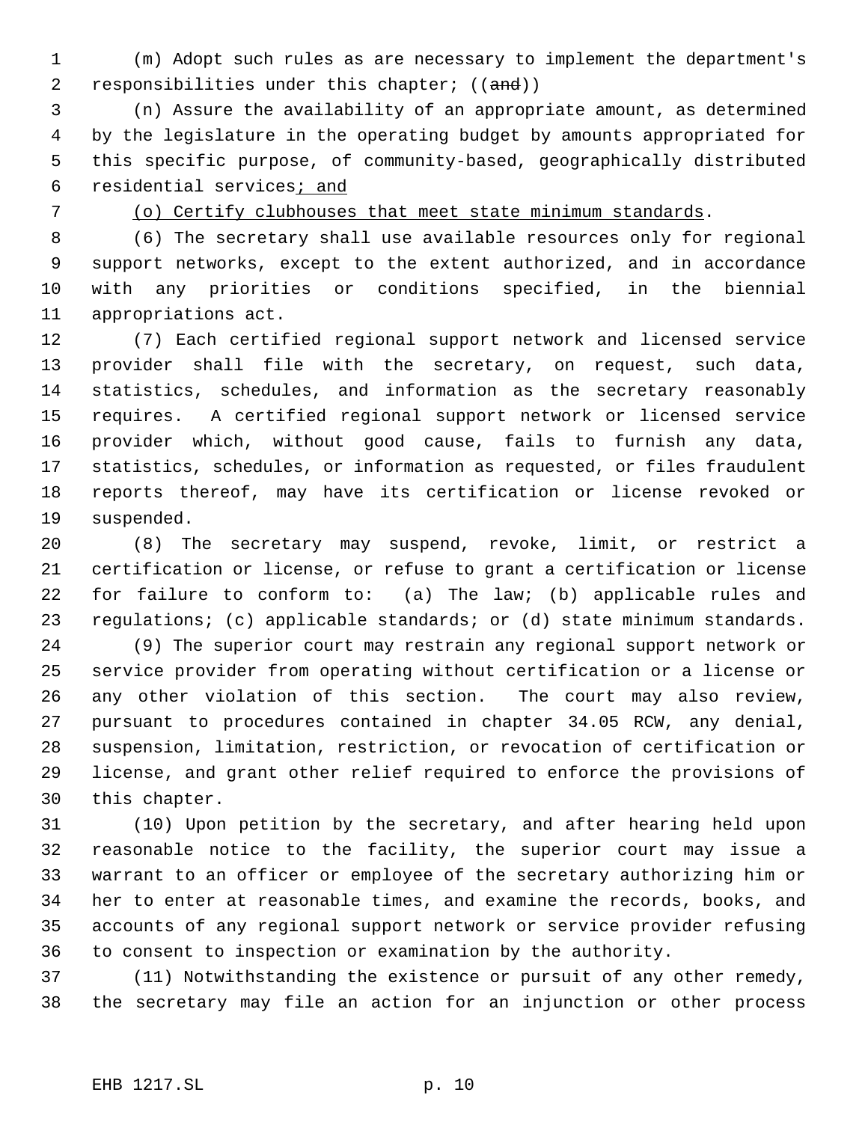(m) Adopt such rules as are necessary to implement the department's 2 responsibilities under this chapter; ((and))

 (n) Assure the availability of an appropriate amount, as determined by the legislature in the operating budget by amounts appropriated for this specific purpose, of community-based, geographically distributed 6 residential services; and

(o) Certify clubhouses that meet state minimum standards.

 (6) The secretary shall use available resources only for regional support networks, except to the extent authorized, and in accordance with any priorities or conditions specified, in the biennial appropriations act.

 (7) Each certified regional support network and licensed service provider shall file with the secretary, on request, such data, statistics, schedules, and information as the secretary reasonably requires. A certified regional support network or licensed service provider which, without good cause, fails to furnish any data, statistics, schedules, or information as requested, or files fraudulent reports thereof, may have its certification or license revoked or suspended.

 (8) The secretary may suspend, revoke, limit, or restrict a certification or license, or refuse to grant a certification or license for failure to conform to: (a) The law; (b) applicable rules and regulations; (c) applicable standards; or (d) state minimum standards.

 (9) The superior court may restrain any regional support network or service provider from operating without certification or a license or any other violation of this section. The court may also review, pursuant to procedures contained in chapter 34.05 RCW, any denial, suspension, limitation, restriction, or revocation of certification or license, and grant other relief required to enforce the provisions of this chapter.

 (10) Upon petition by the secretary, and after hearing held upon reasonable notice to the facility, the superior court may issue a warrant to an officer or employee of the secretary authorizing him or her to enter at reasonable times, and examine the records, books, and accounts of any regional support network or service provider refusing to consent to inspection or examination by the authority.

 (11) Notwithstanding the existence or pursuit of any other remedy, the secretary may file an action for an injunction or other process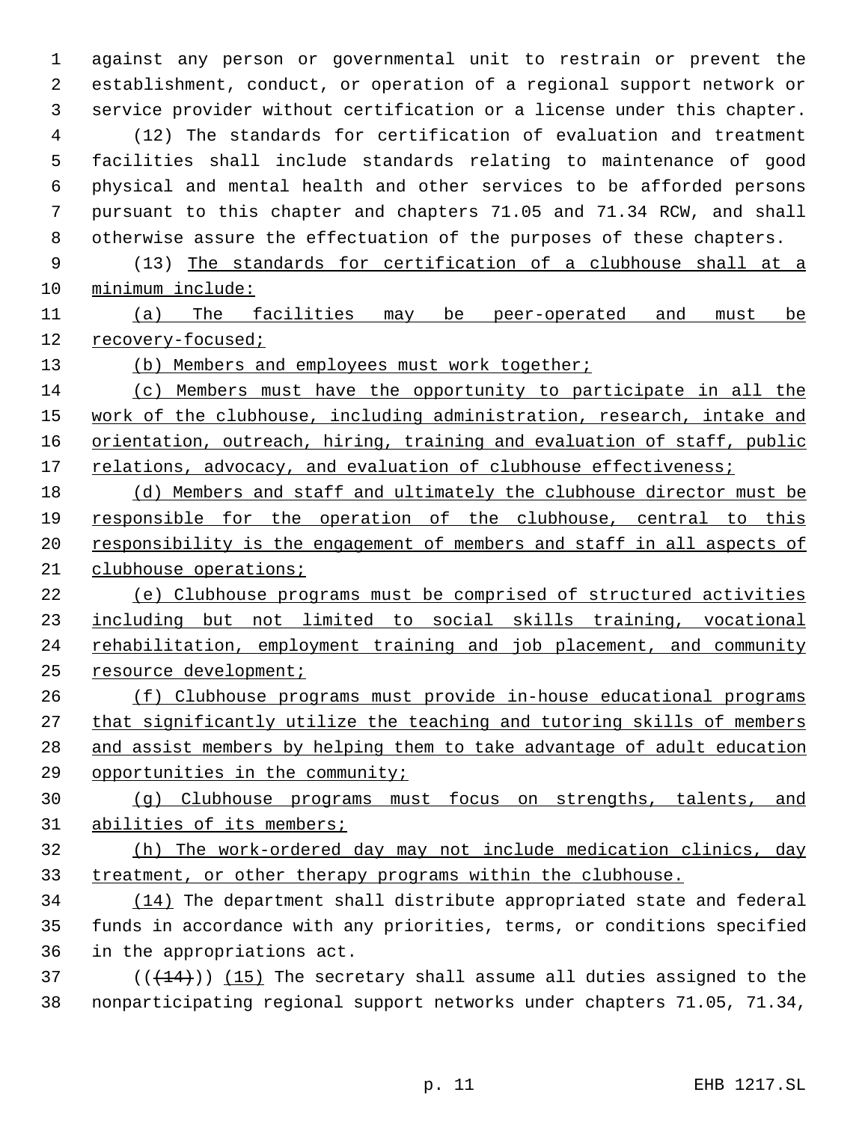against any person or governmental unit to restrain or prevent the establishment, conduct, or operation of a regional support network or service provider without certification or a license under this chapter. (12) The standards for certification of evaluation and treatment facilities shall include standards relating to maintenance of good physical and mental health and other services to be afforded persons pursuant to this chapter and chapters 71.05 and 71.34 RCW, and shall otherwise assure the effectuation of the purposes of these chapters. (13) The standards for certification of a clubhouse shall at a

minimum include:

 (a) The facilities may be peer-operated and must be recovery-focused;

13 (b) Members and employees must work together;

 (c) Members must have the opportunity to participate in all the 15 work of the clubhouse, including administration, research, intake and 16 orientation, outreach, hiring, training and evaluation of staff, public 17 relations, advocacy, and evaluation of clubhouse effectiveness;

 (d) Members and staff and ultimately the clubhouse director must be responsible for the operation of the clubhouse, central to this 20 responsibility is the engagement of members and staff in all aspects of clubhouse operations;

 (e) Clubhouse programs must be comprised of structured activities including but not limited to social skills training, vocational rehabilitation, employment training and job placement, and community resource development;

 (f) Clubhouse programs must provide in-house educational programs that significantly utilize the teaching and tutoring skills of members and assist members by helping them to take advantage of adult education opportunities in the community;

 (g) Clubhouse programs must focus on strengths, talents, and 31 abilities of its members;

 (h) The work-ordered day may not include medication clinics, day treatment, or other therapy programs within the clubhouse.

 (14) The department shall distribute appropriated state and federal funds in accordance with any priorities, terms, or conditions specified in the appropriations act.

 ( $(\overline{+14})$ ) (15) The secretary shall assume all duties assigned to the nonparticipating regional support networks under chapters 71.05, 71.34,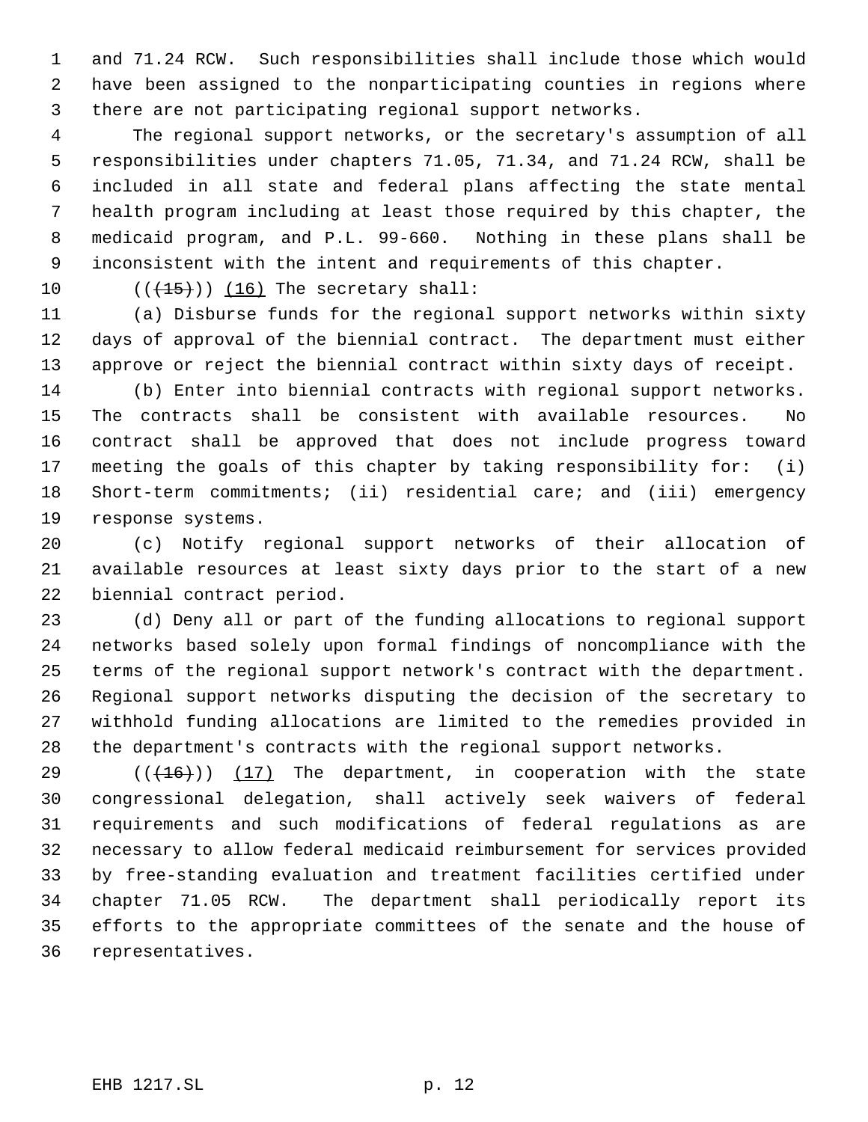and 71.24 RCW. Such responsibilities shall include those which would have been assigned to the nonparticipating counties in regions where there are not participating regional support networks.

 The regional support networks, or the secretary's assumption of all responsibilities under chapters 71.05, 71.34, and 71.24 RCW, shall be included in all state and federal plans affecting the state mental health program including at least those required by this chapter, the medicaid program, and P.L. 99-660. Nothing in these plans shall be inconsistent with the intent and requirements of this chapter.

10  $((+15))$  (16) The secretary shall:

 (a) Disburse funds for the regional support networks within sixty days of approval of the biennial contract. The department must either approve or reject the biennial contract within sixty days of receipt.

 (b) Enter into biennial contracts with regional support networks. The contracts shall be consistent with available resources. No contract shall be approved that does not include progress toward meeting the goals of this chapter by taking responsibility for: (i) Short-term commitments; (ii) residential care; and (iii) emergency response systems.

 (c) Notify regional support networks of their allocation of available resources at least sixty days prior to the start of a new biennial contract period.

 (d) Deny all or part of the funding allocations to regional support networks based solely upon formal findings of noncompliance with the terms of the regional support network's contract with the department. Regional support networks disputing the decision of the secretary to withhold funding allocations are limited to the remedies provided in the department's contracts with the regional support networks.

 $((+16))$  (17) The department, in cooperation with the state congressional delegation, shall actively seek waivers of federal requirements and such modifications of federal regulations as are necessary to allow federal medicaid reimbursement for services provided by free-standing evaluation and treatment facilities certified under chapter 71.05 RCW. The department shall periodically report its efforts to the appropriate committees of the senate and the house of representatives.